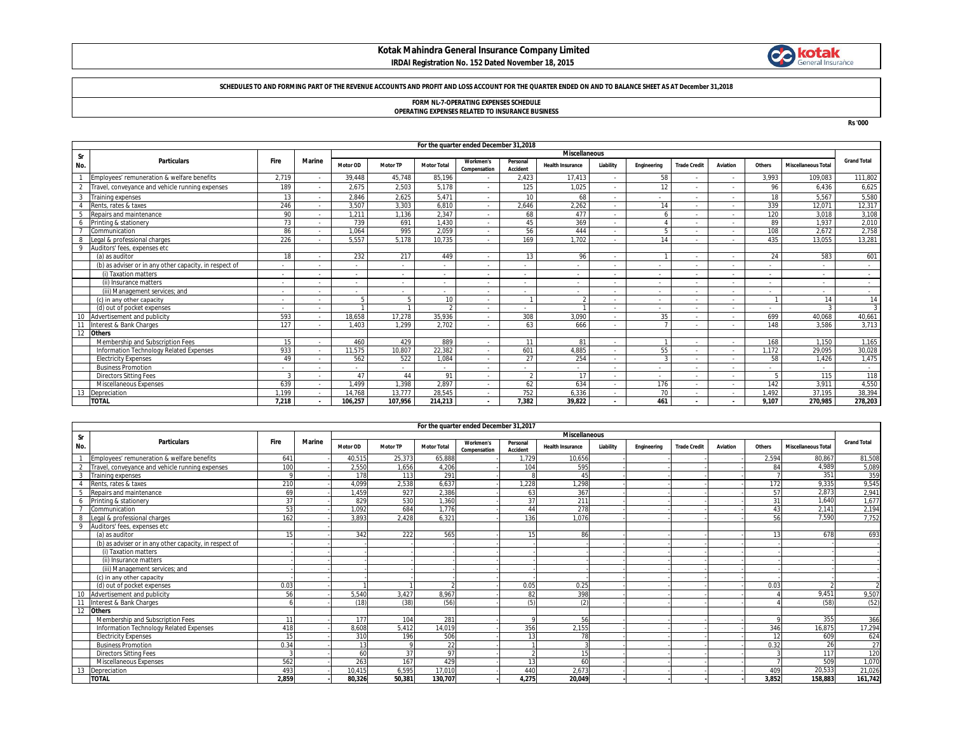# **Kotak Mahindra General Insurance Company Limited**



### **IRDAI Registration No. 152 Dated November 18, 2015**

### **SCHEDULES TO AND FORMING PART OF THE REVENUE ACCOUNTS AND PROFIT AND LOSS ACCOUNT FOR THE QUARTER ENDED ON AND TO BALANCE SHEET AS AT December 31,2018**

# **FORM NL-7-OPERATING EXPENSES SCHEDULE**

**OPERATING EXPENSES RELATED TO INSURANCE BUSINESS**

**Rs '000**

|                | For the quarter ended December 31,2018                 |                          |               |                          |          |                          |                                  |                      |                          |           |                          |                     |                |                          |                            |                    |
|----------------|--------------------------------------------------------|--------------------------|---------------|--------------------------|----------|--------------------------|----------------------------------|----------------------|--------------------------|-----------|--------------------------|---------------------|----------------|--------------------------|----------------------------|--------------------|
| Sr             |                                                        | <b>Miscellaneous</b>     |               |                          |          |                          |                                  |                      |                          |           |                          |                     |                |                          |                            |                    |
| No.            | <b>Particulars</b>                                     | <b>Fire</b>              | <b>Marine</b> | Motor OD                 | Motor TP | <b>Motor Total</b>       | <b>Workmen's</b><br>Compensation | Personal<br>Accident | <b>Health Insurance</b>  | Liability | Engineering              | <b>Trade Credit</b> | Aviation       | Others                   | <b>Miscellaneous Total</b> | <b>Grand Total</b> |
|                | Employees' remuneration & welfare benefits             | 2,719                    |               | 39,448                   | 45.748   | 85,196                   |                                  | 2,423                | 17.413                   |           | 58                       |                     |                | 3,993                    | 109.083                    | 111,802            |
| $\overline{2}$ | Travel, conveyance and vehicle running expenses        | 189                      |               | 2.675                    | 2,503    | 5,178                    | $\overline{\phantom{a}}$         | 125                  | 1.025                    |           | 12                       |                     |                | 96                       | 6.436                      | 6,625              |
| 3              | <b>Training expenses</b>                               | 13                       |               | 2.846                    | 2.625    | 5.471                    | $\overline{\phantom{a}}$         | 10 <sup>1</sup>      | 68                       |           | $\sim$                   |                     |                | 18                       | 5.567                      | 5,580              |
|                | Rents, rates & taxes                                   | 246                      |               | 3.507                    | 3.303    | 6.810                    | $\overline{\phantom{a}}$         | 2.646                | 2.262                    |           | 14                       |                     |                | 339                      | 12.071                     | 12,317             |
|                | Repairs and maintenance                                | 90                       |               | 1.211                    | 1.136    | 2.347                    | $\overline{\phantom{a}}$         | 68                   | 477                      |           |                          |                     |                | 120                      | 3.018                      | 3,108              |
|                | Printing & stationery                                  | 73                       |               | 739                      | 691      | 1.430                    | $\overline{\phantom{a}}$         | 45                   | 369                      | $\sim$    |                          |                     |                | 89                       | 1.937                      | 2,010              |
|                | Communication                                          | 86                       |               | 1.064                    | 995      | 2.059                    | $\overline{\phantom{a}}$         | 56                   | 444                      |           |                          |                     |                | 108                      | 2.672                      | 2,758              |
| 8              | Legal & professional charges                           | 226                      |               | 5.557                    | 5.178    | 10.735                   | $\overline{\phantom{a}}$         | 169                  | 1.702                    |           | 14                       |                     |                | 435                      | 13.055                     | 13.281             |
| $\circ$        | Auditors' fees, expenses etc                           |                          |               |                          |          |                          |                                  |                      |                          |           |                          |                     |                |                          |                            |                    |
|                | (a) as auditor                                         | 18                       |               | 232                      | 217      | 449                      | $\overline{\phantom{a}}$         | 13                   | 96                       |           |                          |                     |                | 24                       | 583                        | 601                |
|                | (b) as adviser or in any other capacity, in respect of |                          |               |                          |          | $\overline{\phantom{a}}$ | ٠                                |                      |                          |           | $\sim$                   |                     |                |                          |                            |                    |
|                | (i) Taxation matters                                   | $\overline{\phantom{a}}$ |               | $\sim$                   |          | $\sim$                   | $\overline{\phantom{a}}$         |                      |                          |           | $\sim$                   |                     |                |                          | $\sim$                     | $\sim$             |
|                | (ii) Insurance matters                                 | $\overline{\phantom{a}}$ |               | $\sim$                   | $\sim$   | $\sim$                   | $\overline{\phantom{a}}$         |                      | $\overline{\phantom{a}}$ |           | $\sim$                   |                     |                | $\overline{\phantom{a}}$ | $\sim$                     | $\sim$             |
|                | (iii) Management services: and                         | $\overline{\phantom{a}}$ |               | $\sim$                   | $\sim$   | $\sim$                   | $\overline{\phantom{a}}$         |                      | $\overline{\phantom{a}}$ | $\sim$    | $\overline{\phantom{a}}$ |                     | $\overline{a}$ | $\sim$                   | $\sim$                     | $\sim$             |
|                | (c) in any other capacity                              | $\overline{\phantom{a}}$ |               |                          |          | 10                       | $\overline{\phantom{a}}$         |                      | $\Omega$                 | $\sim$    | $\overline{\phantom{a}}$ |                     | $\overline{a}$ |                          | 14                         | 14                 |
|                | (d) out of pocket expenses                             | $\overline{\phantom{a}}$ |               |                          |          |                          | $\overline{\phantom{a}}$         |                      |                          |           | $\overline{\phantom{a}}$ |                     | $\overline{a}$ | $\sim$                   |                            | $\mathbf{3}$       |
| 10             | Advertisement and publicity                            | 593                      |               | 18.658                   | 17.278   | 35,936                   | $\overline{\phantom{a}}$         | 308                  | 3.090                    |           | 35                       |                     |                | 699                      | 40.068                     | 40,661             |
| 11             | Interest & Bank Charges                                | 127                      |               | 1.403                    | 1.299    | 2.702                    | $\overline{\phantom{a}}$         | 63                   | 666                      | $\sim$    |                          |                     |                | 148                      | 3.586                      | 3,713              |
| 12             | <b>Others</b>                                          |                          |               |                          |          |                          |                                  |                      |                          |           |                          |                     |                |                          |                            |                    |
|                | Membership and Subscription Fees                       | 15                       |               | 460                      | 429      | 889                      | $\overline{\phantom{a}}$         | 11                   | 81                       | $\sim$    |                          |                     |                | 168                      | 1.150                      | 1,165              |
|                | Information Technology Related Expenses                | 933                      |               | 11.575                   | 10.807   | 22,382                   | $\overline{\phantom{a}}$         | 601                  | 4.885                    |           | 55                       |                     |                | 1.172                    | 29.095                     | 30,028             |
|                | <b>Electricity Expenses</b>                            | 49                       |               | 562                      | 522      | 1,084                    | $\overline{\phantom{a}}$         | 27                   | 254                      |           | 3                        |                     |                | 58                       | 1.426                      | 1,475              |
|                | <b>Business Promotion</b>                              | ٠                        |               | $\overline{\phantom{a}}$ |          | $\overline{\phantom{a}}$ | $\overline{\phantom{a}}$         |                      |                          |           | $\sim$                   |                     |                | $\overline{\phantom{a}}$ |                            | $\sim$             |
|                | <b>Directors Sitting Fees</b>                          | 3                        |               | 47                       | 44       | 91                       | $\overline{\phantom{a}}$         | $\gamma$             | 17                       | $\sim$    | $\sim$                   |                     | $\sim$         |                          | 115                        | 118                |
|                | Miscellaneous Expenses                                 | 639                      |               | .499                     | 1,398    | 2.897                    | $\overline{\phantom{a}}$         | 62                   | 634                      |           | 176                      |                     |                | 142                      | 3.91'                      | 4,550              |
| 13             | Depreciation                                           | 1.199                    |               | 14.768                   | 13,777   | 28,545                   | $\overline{\phantom{a}}$         | 752                  | 6,336                    |           | 70                       |                     |                | .492                     | 37.195                     | 38,394             |
|                | <b>TOTAL</b>                                           | 7.218                    |               | 106,257                  | 107,956  | 214,213                  | $\blacksquare$                   | 7.382                | 39,822                   | $\sim$    | 461                      |                     |                | 9.107                    | 270.985                    | 278,203            |

|             | For the quarter ended December 31,2017                 |       |        |                      |                 |                    |                                  |                      |                         |           |             |                     |          |                 |                            |                    |
|-------------|--------------------------------------------------------|-------|--------|----------------------|-----------------|--------------------|----------------------------------|----------------------|-------------------------|-----------|-------------|---------------------|----------|-----------------|----------------------------|--------------------|
| Sr          |                                                        |       |        | <b>Miscellaneous</b> |                 |                    |                                  |                      |                         |           |             |                     |          |                 |                            |                    |
| No.         | <b>Particulars</b>                                     | Fire  | Marine | <b>Motor OD</b>      | <b>Motor TP</b> | <b>Motor Total</b> | <b>Workmen's</b><br>Compensation | Personal<br>Accident | <b>Health Insurance</b> | Liability | Engineering | <b>Trade Credit</b> | Aviation | Others          | <b>Miscellaneous Total</b> | <b>Grand Total</b> |
|             | Employees' remuneration & welfare benefits             | 641   |        | 40.515               | 25.373          | 65.888             |                                  | 1.729                | 10.656                  |           |             |                     |          | 2.594           | 80.867                     | 81,508             |
| $\gamma$    | Travel, convevance and vehicle running expenses        | 100   |        | 2.550                | 1.656           | 4.206              |                                  | 104                  | 595                     |           |             |                     |          | R               | 4.989                      | 5,089              |
|             | <b>Training expenses</b>                               |       |        | 178                  | 113             | 291                |                                  |                      | 45                      |           |             |                     |          |                 | 351                        | 359                |
|             | Rents, rates & taxes                                   | 210   |        | 4.099                | 2,538           | 6,637              |                                  | .228                 | 1,298                   |           |             |                     |          | 172             | 9,335                      | 9,545              |
|             | Repairs and maintenance                                | 69    |        | 1,459                | 927             | 2,386              |                                  | 63                   | 367                     |           |             |                     |          | 57              | 2.873                      | 2,941              |
| -6          | Printing & stationery                                  | 37    |        | 829                  | 530             | 1.360              |                                  | 37                   | 211                     |           |             |                     |          | 31              | 1.640                      | 1,677              |
|             | Communication                                          | 53    |        | 1.092                | 684             | 1.776              |                                  | 44                   | 278                     |           |             |                     |          | $\mathbf{A}$    | 2,141                      | 2,194              |
| -8          | Legal & professional charges                           | 162   |        | 3.893                | 2.428           | 6.321              |                                  | 136                  | 1.076                   |           |             |                     |          | 56              | 7.590                      | 7,752              |
| $\mathbf Q$ | Auditors' fees, expenses etc                           |       |        |                      |                 |                    |                                  |                      |                         |           |             |                     |          |                 |                            |                    |
|             | (a) as auditor                                         |       |        | 342                  | 222             | 565                |                                  | 15                   | 86                      |           |             |                     |          |                 | 678                        | 693                |
|             | (b) as adviser or in any other capacity, in respect of |       |        |                      |                 |                    |                                  |                      |                         |           |             |                     |          |                 |                            |                    |
|             | (i) Taxation matters                                   |       |        |                      |                 |                    |                                  |                      |                         |           |             |                     |          |                 |                            |                    |
|             | (ii) Insurance matters                                 |       |        |                      |                 |                    |                                  |                      |                         |           |             |                     |          |                 |                            |                    |
|             | (iii) Management services; and                         |       |        |                      |                 |                    |                                  |                      |                         |           |             |                     |          |                 |                            |                    |
|             | (c) in any other capacity                              |       |        |                      |                 |                    |                                  |                      |                         |           |             |                     |          |                 |                            |                    |
|             | (d) out of pocket expenses                             | 0.03  |        |                      |                 |                    |                                  | 0.05                 | 0.25                    |           |             |                     |          | 0.03            |                            |                    |
|             | Advertisement and publicity                            | 56    |        | 5,540                | 3.427           | 8.967              |                                  | 82                   | 398                     |           |             |                     |          |                 | 9,451                      | 9,507              |
|             | Interest & Bank Charges                                |       |        | (18)                 | (38)            | (56)               |                                  | (5)                  | (2)                     |           |             |                     |          |                 | (58)                       | (52)               |
|             | <b>Others</b>                                          |       |        |                      |                 |                    |                                  |                      |                         |           |             |                     |          |                 |                            |                    |
|             | Membership and Subscription Fees                       | 11    |        | 177                  | 104             | 281                |                                  | $\Omega$             | 56                      |           |             |                     |          |                 | 355                        | 366                |
|             | Information Technology Related Expenses                | 418   |        | 8.608                | 5.412           | 14,019             |                                  | 356                  | 2.155                   |           |             |                     |          | 346             | 16,875                     | 17,294             |
|             | <b>Electricity Expenses</b>                            | 15    |        | 310                  | 196             | 506                |                                  | 13                   | 78                      |           |             |                     |          | 1 <sup>′</sup>  | 609                        | 624                |
|             | <b>Business Promotion</b>                              | 0.34  |        | 12                   |                 | 22                 |                                  |                      | $\Omega$                |           |             |                     |          | 0.32            | 26                         | 27                 |
|             | <b>Directors Sitting Fees</b>                          |       |        | 60                   | 37              | 97                 |                                  |                      | 15                      |           |             |                     |          |                 | 117                        | 120                |
|             | <b>Miscellaneous Expenses</b>                          | 562   |        | 263                  | 167             | 429                |                                  | 13                   | 60                      |           |             |                     |          |                 | 509                        | 1,070              |
|             | Depreciation                                           | 493   |        | 10.415               | 6.595           | 17.010             |                                  | 440                  | 2.673                   |           |             |                     |          | 40 <sup>9</sup> | 20,533                     | 21,026             |
|             | <b>TOTAL</b>                                           | 2.859 |        | 80,326               | 50,381          | 130,707            |                                  | 4.275                | 20,049                  |           |             |                     |          | 3.852           | 158,883                    | 161,742            |